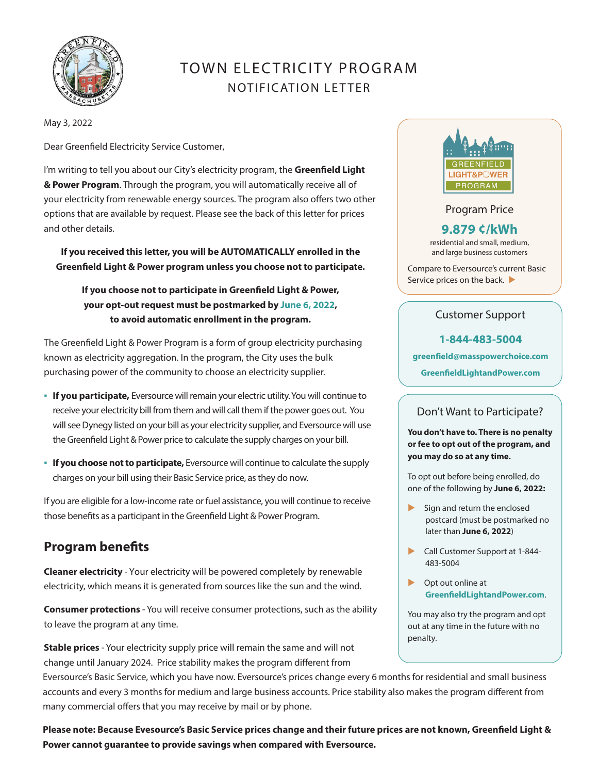

# TOWN ELECTRICITY PROGRAM NOTIFIC ATION LETTER

May 3, 2022

Dear Greenfield Electricity Service Customer,

I'm writing to tell you about our City's electricity program, the **Greenfield Light & Power Program**. Through the program, you will automatically receive all of your electricity from renewable energy sources. The program also offers two other options that are available by request. Please see the back of this letter for prices and other details.

**If you received this letter, you will be AUTOMATICALLY enrolled in the Greenfield Light & Power program unless you choose not to participate.**

**If you choose not to participate in Greenfield Light & Power, your opt-out request must be postmarked by June 6, 2022, to avoid automatic enrollment in the program.**

The Greenfield Light & Power Program is a form of group electricity purchasing known as electricity aggregation. In the program, the City uses the bulk purchasing power of the community to choose an electricity supplier.

- **If you participate,** Eversource will remain your electric utility. You will continue to receive your electricity bill from them and will call them if the power goes out. You will see Dynegy listed on your bill as your electricity supplier, and Eversource will use the Greenfield Light & Power price to calculate the supply charges on your bill.
- **.** If you choose not to participate, Eversource will continue to calculate the supply charges on your bill using their Basic Service price, as they do now.

If you are eligible for a low-income rate or fuel assistance, you will continue to receive those benefits as a participant in the Greenfield Light & Power Program.

## **Program benefits**

**Cleaner electricity** - Your electricity will be powered completely by renewable electricity, which means it is generated from sources like the sun and the wind*.* 

**Consumer protections** - You will receive consumer protections, such as the ability to leave the program at any time.

**Stable prices** - Your electricity supply price will remain the same and will not change until January 2024. Price stability makes the program different from

Eversource's Basic Service, which you have now. Eversource's prices change every 6 months for residential and small business accounts and every 3 months for medium and large business accounts. Price stability also makes the program different from many commercial offers that you may receive by mail or by phone.

**Please note: Because Evesource's Basic Service prices change and their future prices are not known, Greenfield Light & Power cannot guarantee to provide savings when compared with Eversource.**



#### Program Price

## **9.879 ¢/kWh**

residential and small, medium, and large business customers

Compare to Eversource's current Basic Service prices on the back.

#### Customer Support

#### **1-844-483-5004**

**greenfield@masspowerchoice.com**

**GreenfieldLightandPower.com**

### Don't Want to Participate?

**You don't have to. There is no penalty or fee to opt out of the program, and you may do so at any time.** 

To opt out before being enrolled, do one of the following by **June 6, 2022:** 

- $\blacktriangleright$  Sign and return the enclosed postcard (must be postmarked no later than **June 6, 2022**)
- Call Customer Support at 1-844-483-5004
- ▶ Opt out online at **GreenfieldLightandPower.com**.

You may also try the program and opt out at any time in the future with no penalty.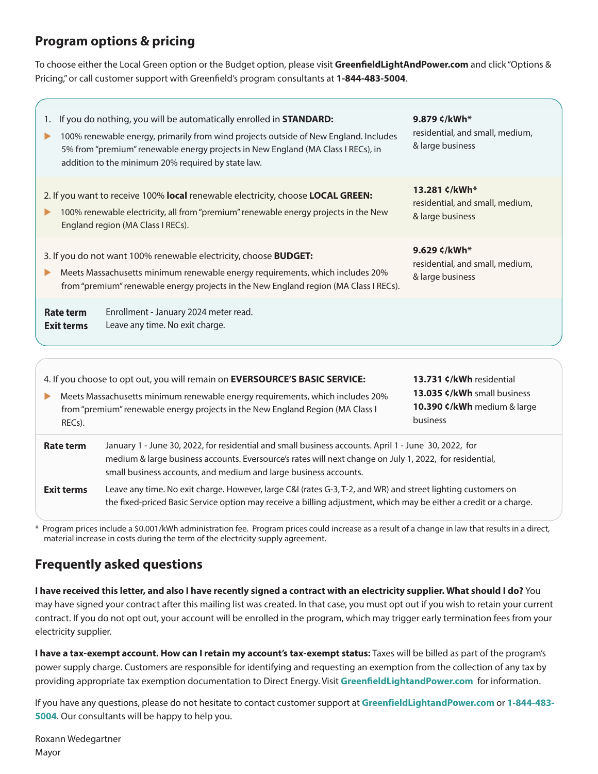## **Program options & pricing**

To choose either the Local Green option or the Budget option, please visit **GreenfieldLightAndPower.com** and click "Options & Pricing," or call customer support with Greenfield's program consultants at **1-844-483-5004**.

| If you do nothing, you will be automatically enrolled in <b>STANDARD:</b><br>9.879 ¢/kWh*<br>1.<br>residential, and small, medium,<br>100% renewable energy, primarily from wind projects outside of New England. Includes<br>& large business<br>5% from "premium" renewable energy projects in New England (MA Class I RECs), in<br>addition to the minimum 20% required by state law.<br>13.281 ¢/kWh*<br>2. If you want to receive 100% local renewable electricity, choose LOCAL GREEN:<br>residential, and small, medium,<br>100% renewable electricity, all from "premium" renewable energy projects in the New<br>& large business<br>England region (MA Class I RECs).<br>9.629 ¢/kWh*<br>3. If you do not want 100% renewable electricity, choose <b>BUDGET:</b><br>residential, and small, medium,<br>Meets Massachusetts minimum renewable energy requirements, which includes 20%<br>& large business<br>from "premium" renewable energy projects in the New England region (MA Class I RECs).<br>Enrollment - January 2024 meter read.<br>Rate term<br>Leave any time. No exit charge.<br><b>Exit terms</b> |
|---------------------------------------------------------------------------------------------------------------------------------------------------------------------------------------------------------------------------------------------------------------------------------------------------------------------------------------------------------------------------------------------------------------------------------------------------------------------------------------------------------------------------------------------------------------------------------------------------------------------------------------------------------------------------------------------------------------------------------------------------------------------------------------------------------------------------------------------------------------------------------------------------------------------------------------------------------------------------------------------------------------------------------------------------------------------------------------------------------------------------|
|                                                                                                                                                                                                                                                                                                                                                                                                                                                                                                                                                                                                                                                                                                                                                                                                                                                                                                                                                                                                                                                                                                                           |
|                                                                                                                                                                                                                                                                                                                                                                                                                                                                                                                                                                                                                                                                                                                                                                                                                                                                                                                                                                                                                                                                                                                           |
|                                                                                                                                                                                                                                                                                                                                                                                                                                                                                                                                                                                                                                                                                                                                                                                                                                                                                                                                                                                                                                                                                                                           |
|                                                                                                                                                                                                                                                                                                                                                                                                                                                                                                                                                                                                                                                                                                                                                                                                                                                                                                                                                                                                                                                                                                                           |

from "premium" renewable energy projects in the New England Region (MA Class I RECs).

**10.390 ¢/kWh** medium & large business

| Rate term         | January 1 - June 30, 2022, for residential and small business accounts. April 1 - June 30, 2022, for        |
|-------------------|-------------------------------------------------------------------------------------------------------------|
|                   | medium & large business accounts. Eversource's rates will next change on July 1, 2022, for residential,     |
|                   | small business accounts, and medium and large business accounts.                                            |
| <b>Exit terms</b> | Leave any time. No exit charge. However, large C&I (rates G-3, T-2, and WR) and street lighting customers c |

Leave any time. No exit charge. However, large C&I (rates G-3, T-2, and WR) and street lighting customers on the fixed-priced Basic Service option may receive a billing adjustment, which may be either a credit or a charge.

\* Program prices include a \$0.001/kWh administration fee. Program prices could increase as a result of a change in law that results in a direct, material increase in costs during the term of the electricity supply agreement.

## **Frequently asked questions**

**I have received this letter, and also I have recently signed a contract with an electricity supplier. What should I do?** You may have signed your contract after this mailing list was created. In that case, you must opt out if you wish to retain your current contract. If you do not opt out, your account will be enrolled in the program, which may trigger early termination fees from your electricity supplier.

**I have a tax-exempt account. How can I retain my account's tax-exempt status:** Taxes will be billed as part of the program's power supply charge. Customers are responsible for identifying and requesting an exemption from the collection of any tax by providing appropriate tax exemption documentation to Direct Energy. Visit **GreenfieldLightandPower.com** for information.

If you have any questions, please do not hesitate to contact customer support at **GreenfieldLightandPower.com** or **1-844-483- 5004**. Our consultants will be happy to help you.

Roxann Wedegartner Mayor